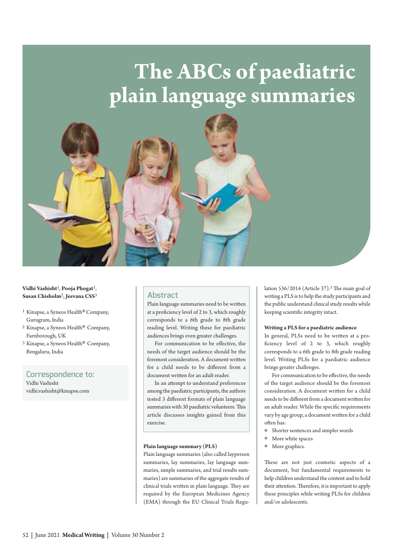# **The ABCs of paediatric plain language summaries**



**Vidhi Vashisht**1, **Pooja Phogat**1, **Susan Chisholm**2, **Jeevana CSS**3

- 1 Kinapse, a Syneos Health®Company, Gurugram, India
- 2 Kinapse, a Syneos Health® Company, Farnborough, UK
- 3 Kinapse, a Syneos Health® Company, Bengaluru, India

# **Correspondence to:**

Vidhi Vashisht [vidhi.vashisht@kinapse.com](mailto:vidhi.vashisht@kinapse.com)

# **Abstract**

Plain language summaries need to be written at a proficiency level of 2 to 3, which roughly corresponds to a 6th grade to 8th grade reading level. Writing these for paediatric audiences brings even greater challenges.

For communication to be effective, the needs of the target audience should be the foremost consideration. A document written for a child needs to be different from a document written for an adult reader.

In an attempt to understand preferences among the paediatric participants, the authors tested 3 different formats of plain language summaries with 30 paediatric volunteers. This article discusses insights gained from this exercise.

#### **Plain language summary (PLS)**

Plain language summaries (also called layperson summaries, lay summaries, lay language summaries, simple summaries, and trial results summaries) are summaries of the aggregate results of clinical trials written in plain language. They are required by the European Medicines Agency (EMA) through the EU Clinical Trials Regulation 536/2014 (Article 37).<sup>1</sup> The main goal of writing a PLS is to help the study participants and the public understand clinical study results while keeping scientific integrity intact.

#### **Writing a PLS for a paediatric audience**

In general, PLSs need to be written at a proficiency level of 2 to 3, which roughly corresponds to a 6th grade to 8th grade reading level. Writing PLSs for a paediatric audience brings greater challenges.

For communication to be effective, the needs of the target audience should be the foremost consideration. A document written for a child needs to be different from a document written for an adult reader. While the specific requirements vary by age group, a document written for a child often has:

- **•** Shorter sentences and simpler words
- **More** white spaces
- More graphics.

These are not just cosmetic aspects of a document, but fundamental requirements to help children understand the content and to hold their attention. Therefore, it is important to apply these principles while writing PLSs for children and/or adolescents.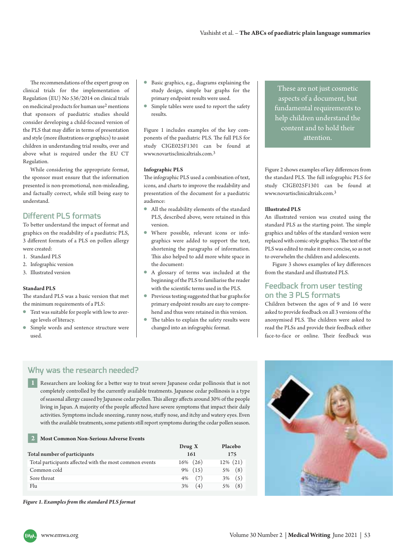The recommendations of the expert group on clinical trials for the implementation of Regulation (EU) No 536/2014 on clinical trials on medicinal products for human use2 mentions that sponsors of paediatric studies should consider developing a child-focused version of the PLS that may differ in terms of presentation and style (more illustrations or graphics) to assist children in understanding trial results, over and above what is required under the EU CT Regulation.

While considering the appropriate format, the sponsor must ensure that the information presented is non-promotional, non-misleading, and factually correct, while still being easy to understand.

# **Different PLS formats**

To better understand the impact of format and graphics on the readability of a paediatric PLS, 3 different formats of a PLS on pollen allergy were created:

- 1. Standard PLS
- 2. Infographic version
- 3. Illustrated version

#### **Standard PLS**

The standard PLS was a basic version that met the minimum requirements of a PLS:

- <sup>l</sup> Text was suitable for people with low to aver age levels of literacy.
- **·** Simple words and sentence structure were used.
- <sup>l</sup> Basic graphics, e.g., diagrams explaining the study design, simple bar graphs for the primary endpoint results were used.
- Simple tables were used to report the safety results.

Figure 1 includes examples of the key components of the paediatric PLS. The full PLS for study CIGE025F1301 can be found at [www.novartisclinicaltrials.com.](http://www.novartisclinicaltrials.com) 3

#### **Infographic PLS**

The infographic PLS used a combination of text, icons, and charts to improve the readability and presentation of the document for a paediatric audience:

- <sup>l</sup> All the readability elements of the standard PLS, described above, were retained in this version.
- $\bullet$  Where possible, relevant icons or infographics were added to support the text, shortening the paragraphs of information. This also helped to add more white space in the document:
- <sup>l</sup> A glossary of terms was included at the beginning of the PLS to familiarise the reader with the scientific terms used in the PLS.
- **•** Previous testing suggested that bar graphs for primary endpoint results are easy to comprehend and thus were retained in this version.
- The tables to explain the safety results were changed into an infographic format.

These are not just cosmetic aspects of a document, but fundamental requirements to help children understand the content and to hold their attention.

Figure 2 shows examples of key differences from the standard PLS. The full infographic PLS for study CIGE025F1301 can be found at [www.novartisclinicaltrials.com.](http://www.novartisclinicaltrials.com) 3

#### **Illustrated PLS**

An illustrated version was created using the standard PLS as the starting point. The simple graphics and tables of the standard version were replaced with comic-style graphics. The text of the PLS was edited to make it more concise, so as not to overwhelm the children and adolescents.

Figure 3 shows examples of key differences from the standard and illustrated PLS.

# **Feedback from user testing on the 3 PLS formats**

Children between the ages of 9 and 16 were asked to provide feedback on all 3 versions of the anonymised PLS. The children were asked to read the PLSs and provide their feedback either face-to-face or online. Their feedback was

# **Why was the research needed?**

n Researchers are looking for a better way to treat severe Japanese cedar pollinosis that is not completely controlled by the currently available treatments. Japanese cedar pollinosis is a type of seasonal allergy caused by Japanese cedar pollen. This allergy affects around 30% of the people living in Japan. A majority of the people affected have severe symptoms that impact their daily activities. Symptoms include sneezing, runny nose, stuffy nose, and itchy and watery eyes. Even with the available treatments, some patients still report symptoms during the cedar pollen season.

#### n **Most Common Non-Serious Adverse Events 2**

|                                                         | Draw X      | Placebo     |
|---------------------------------------------------------|-------------|-------------|
| Total number of participants                            | 161         | 175         |
| Total participants affected with the most common events | $16\%$ (26) | $12\%$ (21) |
| Common cold                                             | $9\%$ (15)  | (8)<br>5%   |
| Sore throat                                             | (7)<br>4%   | (5)<br>3%   |
| Flu                                                     | (4)<br>3%   | (8)<br>5%   |

*Figure 1. Examples from the standard PLS format*

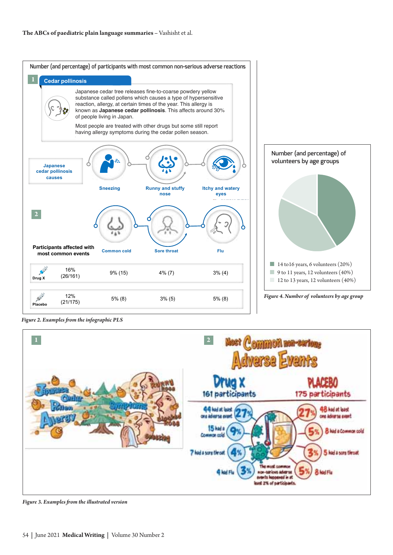

Figure 2. Examples from the infographic PLS



Figure 3. Examples from the illustrated version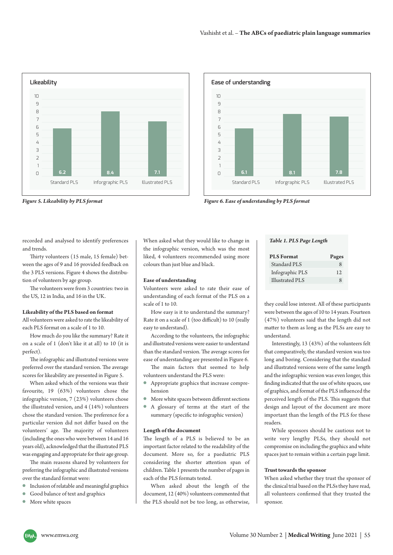

*Figure 5. Likeability by PLS format* 



*Figure 6. Ease of understanding by PLS format*

recorded and analysed to identify preferences and trends.

Thirty volunteers (15 male, 15 female) bet ween the ages of 9 and 16 provided feedback on the 3 PLS versions. Figure 4 shows the distribution of volunteers by age group.

The volunteers were from 3 countries: two in the US, 12 in India, and 16 in the UK.

#### **Likeability of the PLS based on format**

All volunteers were asked to rate the likeability of each PLS format on a scale of 1 to 10.

How much do you like the summary? Rate it on a scale of 1 (don't like it at all) to 10 (it is perfect).

The infographic and illustrated versions were preferred over the standard version. The average scores for likeability are presented in Figure 5.

When asked which of the versions was their favourite, 19 (63%) volunteers chose the infographic version, 7 (23%) volunteers chose the illustrated version, and 4 (14%) volunteers chose the standard version. The preference for a particular version did not differ based on the volunteers' age. The majority of volunteers (including the ones who were between 14 and 16 years old), acknowledged that the illustrated PLS was engaging and appropriate for their age group.

The main reasons shared by volunteers for preferring the infographic and illustrated versions over the standard format were:

- $\bullet$  Inclusion of relatable and meaningful graphics
- **Good balance of text and graphics**
- More white spaces

When asked what they would like to change in the infographic version, which was the most liked, 4 volunteers recommended using more colours than just blue and black.

#### **Ease of understanding**

Volunteers were asked to rate their ease of understanding of each format of the PLS on a scale of 1 to 10.

How easy is it to understand the summary? Rate it on a scale of 1 (too difficult) to 10 (really easy to understand).

According to the volunteers, the infographic and illustrated versions were easier to understand than the standard version. The average scores for ease of understanding are presented in Figure 6.

The main factors that seemed to help volunteers understand the PLS were:

- <sup>l</sup> Appropriate graphics that increase compre hension
- $\bullet$  More white spaces between different sections
- <sup>l</sup> A glossary of terms at the start of the summary (specific to infographic version)

#### **Length of the document**

The length of a PLS is believed to be an important factor related to the readability of the document. More so, for a paediatric PLS considering the shorter attention span of children. Table 1 presents the number of pages in each of the PLS formats tested.

When asked about the length of the document, 12 (40%) volunteers commented that the PLS should not be too long, as otherwise,

#### *Table 1. PLS Page Length*

| <b>PLS</b> Format | Pages         |
|-------------------|---------------|
| Standard PLS      | $\mathcal{R}$ |
| Infographic PLS   | 12            |
| Illustrated PLS   | 8             |

they could lose interest. All of these participants were between the ages of 10 to 14 years. Fourteen (47%) volunteers said that the length did not matter to them as long as the PLSs are easy to understand.

Interestingly, 13 (43%) of the volunteers felt that comparatively, the standard version was too long and boring. Considering that the standard and illustrated versions were of the same length and the infographic version was even longer, this finding indicated that the use of white spaces, use of graphics, and format of the PLS influenced the perceived length of the PLS. This suggests that design and layout of the document are more important than the length of the PLS for these readers.

While sponsors should be cautious not to write very lengthy PLSs, they should not compromise on including the graphics and white spaces just to remain within a certain page limit.

#### **Trust towards the sponsor**

When asked whether they trust the sponsor of the clinical trial based on the PLSs they have read, all volunteers confirmed that they trusted the sponsor.